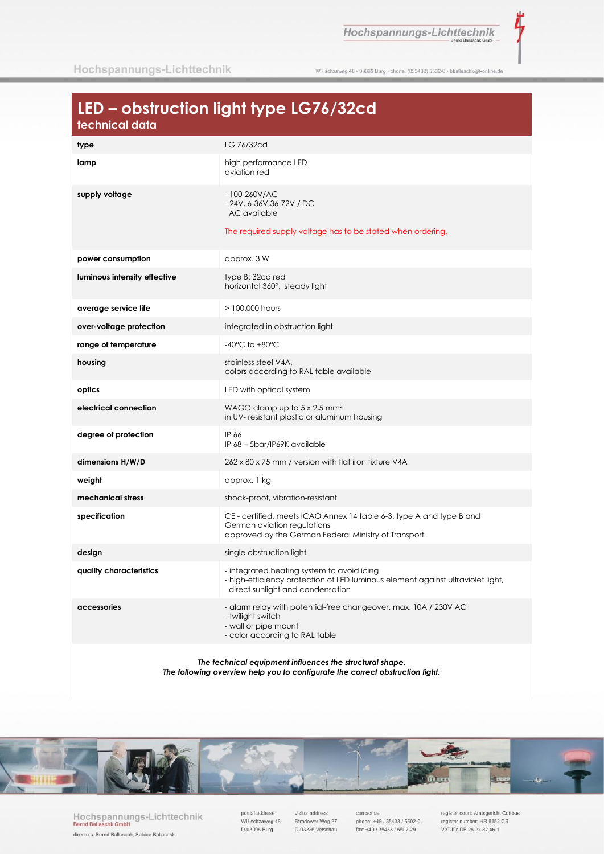Hochspannungs-Lichttechnik

ť

Willischzaweg 48 · 03096 Burg · phone. (035433) 5502-0 · bballaschk@t-online.de

# LED - obstruction light type LG76/32cd

| <u>iceilineal</u> agus       |                                                                                                                                                                   |
|------------------------------|-------------------------------------------------------------------------------------------------------------------------------------------------------------------|
| type                         | LG 76/32cd                                                                                                                                                        |
| lamp                         | high performance LED<br>aviation red                                                                                                                              |
| supply voltage               | $-100 - 260 V/AC$<br>- 24V, 6-36V, 36-72V / DC<br>AC available<br>The required supply voltage has to be stated when ordering.                                     |
| power consumption            | approx. 3 W                                                                                                                                                       |
| luminous intensity effective | type B: 32cd red<br>horizontal 360°, steady light                                                                                                                 |
| average service life         | $>100.000$ hours                                                                                                                                                  |
| over-voltage protection      | integrated in obstruction light                                                                                                                                   |
| range of temperature         | $-40^{\circ}$ C to $+80^{\circ}$ C                                                                                                                                |
| housing                      | stainless steel V4A,<br>colors according to RAL table available                                                                                                   |
| optics                       | LED with optical system                                                                                                                                           |
| electrical connection        | WAGO clamp up to $5 \times 2.5$ mm <sup>2</sup><br>in UV- resistant plastic or aluminum housing                                                                   |
| degree of protection         | IP 66<br>IP 68 - 5bar/IP69K available                                                                                                                             |
| dimensions H/W/D             | 262 x 80 x 75 mm / version with flat iron fixture V4A                                                                                                             |
| weight                       | approx. 1 kg                                                                                                                                                      |
| mechanical stress            | shock-proof, vibration-resistant                                                                                                                                  |
| specification                | CE - certified, meets ICAO Annex 14 table 6-3. type A and type B and<br>German aviation regulations<br>approved by the German Federal Ministry of Transport       |
| design                       | single obstruction light                                                                                                                                          |
| quality characteristics      | - integrated heating system to avoid icing<br>- high-efficiency protection of LED luminous element against ultraviolet light,<br>direct sunlight and condensation |
| accessories                  | - alarm relay with potential-free changeover, max. 10A / 230V AC<br>- twilight switch<br>- wall or pipe mount<br>- color according to RAL table                   |
|                              |                                                                                                                                                                   |

The technical equipment influences the structural shape. The following overview help you to configurate the correct obstruction light.



Hochspannungs-Lichttechnik<br>Bernd Ballaschk GmbH directors: Bernd Ballaschk, Sabine Ballaschk

postal address Willischzaweg 48 D-03096 Burg

visitor address Stradower Weg 27 D-03226 Vetschau

contact us phone: +49 / 35433 / 5502-0 fax: +49 / 35433 / 5502-29

register court: Amtsgericht Cottbus<br>register number: HR 8152 CB VAT-ID: DE 26 22 82 46 1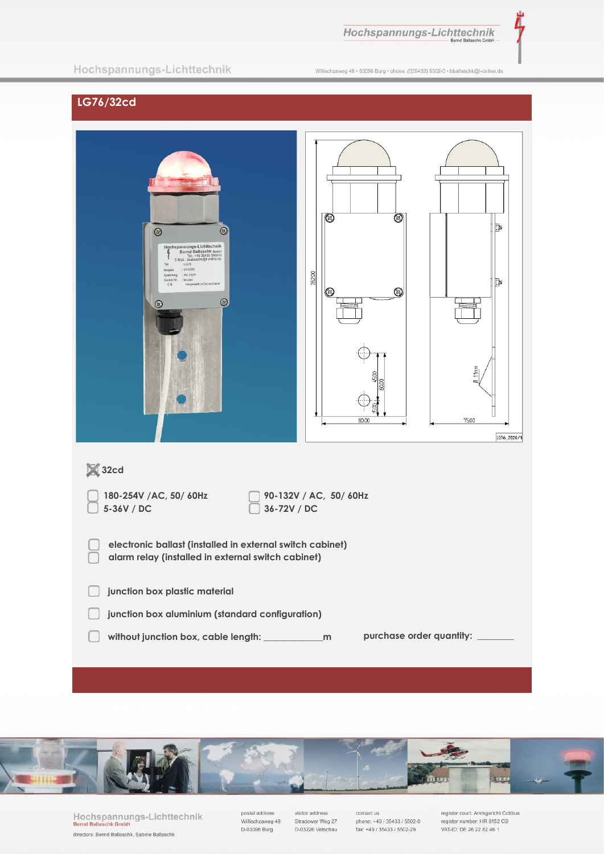Hochspannungs-Lichttechnik

Ì,

### Hochspannungs-Lichttechnik

Willischzaweg 48 · 03096 Burg · phone. (035433) 5502-0 · bballaschk@t-online.de

# LG76/32cd

| $\odot$<br>$\odot$<br>Hochspannungs-Lichttechnik<br>Bernd Ballaschk GmbH<br>Tel.: +49 35433 5502-0<br>F-Mail: bballaschk@t-online.de<br>Typ<br>: LG76<br>:01/2020<br>Baujahr<br>Spannung : AC 230V<br>: Muster<br>Geräte Nr.<br>Hergestellt in Deutschland<br>$\zeta \in$<br>$\circledcirc$<br>$\circ$ | ▧<br>▧<br>26200<br>$^{\circledR}$<br>◙<br>80.00 | Þ<br>Þ<br>11mm<br>$\overline{\phantom{a}}$<br>75.00<br>LG76_2020/1 |  |
|--------------------------------------------------------------------------------------------------------------------------------------------------------------------------------------------------------------------------------------------------------------------------------------------------------|-------------------------------------------------|--------------------------------------------------------------------|--|
| <b>X</b> 32cd                                                                                                                                                                                                                                                                                          |                                                 |                                                                    |  |
| 90-132V / AC, 50/ 60Hz<br>180-254V /AC, 50/ 60Hz<br>5-36V / DC<br>36-72V / DC                                                                                                                                                                                                                          |                                                 |                                                                    |  |
| electronic ballast (installed in external switch cabinet)<br>alarm relay (installed in external switch cabinet)                                                                                                                                                                                        |                                                 |                                                                    |  |
| junction box plastic material                                                                                                                                                                                                                                                                          |                                                 |                                                                    |  |
| junction box aluminium (standard configuration)                                                                                                                                                                                                                                                        |                                                 |                                                                    |  |
| purchase order quantity: ______                                                                                                                                                                                                                                                                        |                                                 |                                                                    |  |



Hochspannungs-Lichttechnik<br>Bernd Ballaschk GmbH directors: Bernd Ballaschk, Sabine Ballaschk

postal address<br>Willischzaweg 48 D-03096 Burg

visitor address Stradower Weg 27 D-03226 Vetschau

contact us<br>phone: +49 / 35433 / 5502-0 fax: +49 / 35433 / 5502-29

register court: Amtsgericht Cottbus<br>register number: HR 8152 CB VAT-ID: DE 26 22 82 46 1